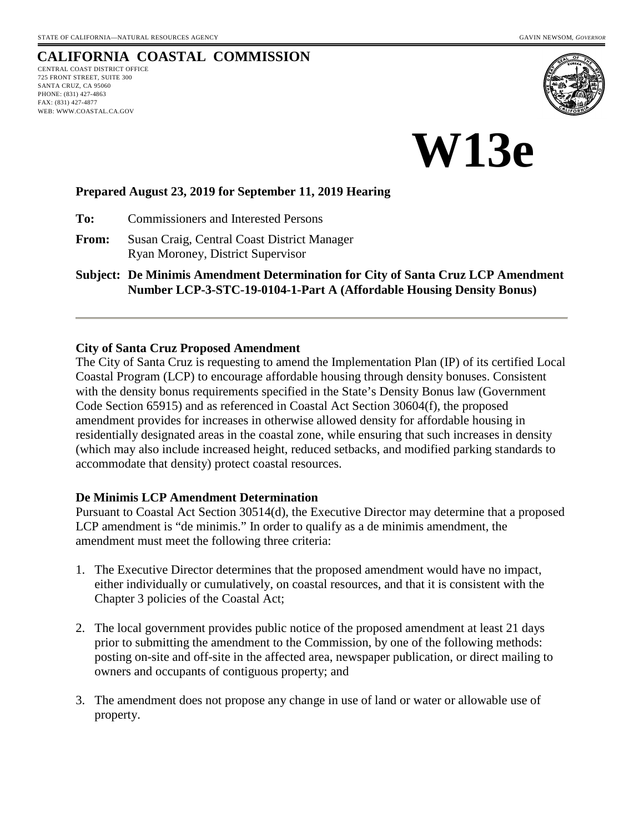# **CALIFORNIA COASTAL COMMISSION**

CENTRAL COAST DISTRICT OFFICE 725 FRONT STREET, SUITE 300 SANTA CRUZ, CA 95060 PHONE: (831) 427-4863 FAX: (831) 427-4877 WEB: WWW.COASTAL.CA.GOV





#### **Prepared August 23, 2019 for September 11, 2019 Hearing**

**To:** Commissioners and Interested Persons

**From:** Susan Craig, Central Coast District Manager Ryan Moroney, District Supervisor

**Subject: De Minimis Amendment Determination for City of Santa Cruz LCP Amendment Number LCP-3-STC-19-0104-1-Part A (Affordable Housing Density Bonus)**

#### **City of Santa Cruz Proposed Amendment**

The City of Santa Cruz is requesting to amend the Implementation Plan (IP) of its certified Local Coastal Program (LCP) to encourage affordable housing through density bonuses. Consistent with the density bonus requirements specified in the State's Density Bonus law (Government Code Section 65915) and as referenced in Coastal Act Section 30604(f), the proposed amendment provides for increases in otherwise allowed density for affordable housing in residentially designated areas in the coastal zone, while ensuring that such increases in density (which may also include increased height, reduced setbacks, and modified parking standards to accommodate that density) protect coastal resources.

## **De Minimis LCP Amendment Determination**

Pursuant to Coastal Act Section 30514(d), the Executive Director may determine that a proposed LCP amendment is "de minimis." In order to qualify as a de minimis amendment, the amendment must meet the following three criteria:

- 1. The Executive Director determines that the proposed amendment would have no impact, either individually or cumulatively, on coastal resources, and that it is consistent with the Chapter 3 policies of the Coastal Act;
- 2. The local government provides public notice of the proposed amendment at least 21 days prior to submitting the amendment to the Commission, by one of the following methods: posting on-site and off-site in the affected area, newspaper publication, or direct mailing to owners and occupants of contiguous property; and
- 3. The amendment does not propose any change in use of land or water or allowable use of property.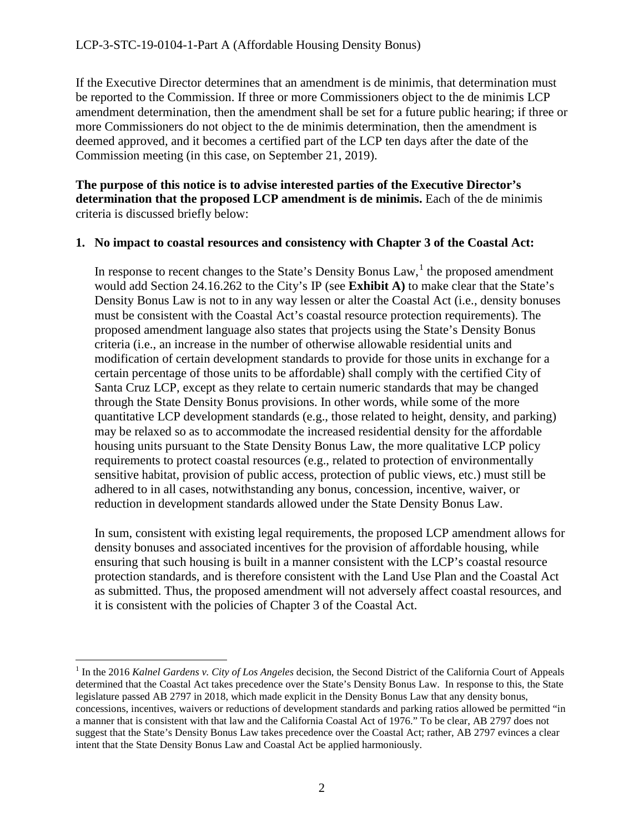If the Executive Director determines that an amendment is de minimis, that determination must be reported to the Commission. If three or more Commissioners object to the de minimis LCP amendment determination, then the amendment shall be set for a future public hearing; if three or more Commissioners do not object to the de minimis determination, then the amendment is deemed approved, and it becomes a certified part of the LCP ten days after the date of the Commission meeting (in this case, on September 21, 2019).

**The purpose of this notice is to advise interested parties of the Executive Director's determination that the proposed LCP amendment is de minimis.** Each of the de minimis criteria is discussed briefly below:

#### **1. No impact to coastal resources and consistency with Chapter 3 of the Coastal Act:**

In response to recent changes to the State's Density Bonus  $Law<sup>1</sup>$  $Law<sup>1</sup>$  $Law<sup>1</sup>$ , the proposed amendment would add Section 24.16.262 to the City's IP (see **Exhibit A)** to make clear that the State's Density Bonus Law is not to in any way lessen or alter the Coastal Act (i.e., density bonuses must be consistent with the Coastal Act's coastal resource protection requirements). The proposed amendment language also states that projects using the State's Density Bonus criteria (i.e., an increase in the number of otherwise allowable residential units and modification of certain development standards to provide for those units in exchange for a certain percentage of those units to be affordable) shall comply with the certified City of Santa Cruz LCP, except as they relate to certain numeric standards that may be changed through the State Density Bonus provisions. In other words, while some of the more quantitative LCP development standards (e.g., those related to height, density, and parking) may be relaxed so as to accommodate the increased residential density for the affordable housing units pursuant to the State Density Bonus Law, the more qualitative LCP policy requirements to protect coastal resources (e.g., related to protection of environmentally sensitive habitat, provision of public access, protection of public views, etc.) must still be adhered to in all cases, notwithstanding any bonus, concession, incentive, waiver, or reduction in development standards allowed under the State Density Bonus Law.

In sum, consistent with existing legal requirements, the proposed LCP amendment allows for density bonuses and associated incentives for the provision of affordable housing, while ensuring that such housing is built in a manner consistent with the LCP's coastal resource protection standards, and is therefore consistent with the Land Use Plan and the Coastal Act as submitted. Thus, the proposed amendment will not adversely affect coastal resources, and it is consistent with the policies of Chapter 3 of the Coastal Act.

<span id="page-1-0"></span> <sup>1</sup> In the 2016 *Kalnel Gardens v. City of Los Angeles* decision, the Second District of the California Court of Appeals determined that the Coastal Act takes precedence over the State's Density Bonus Law. In response to this, the State legislature passed AB 2797 in 2018, which made explicit in the Density Bonus Law that any density bonus, concessions, incentives, waivers or reductions of development standards and parking ratios allowed be permitted "in a manner that is consistent with that law and the California Coastal Act of 1976." To be clear, AB 2797 does not suggest that the State's Density Bonus Law takes precedence over the Coastal Act; rather, AB 2797 evinces a clear intent that the State Density Bonus Law and Coastal Act be applied harmoniously.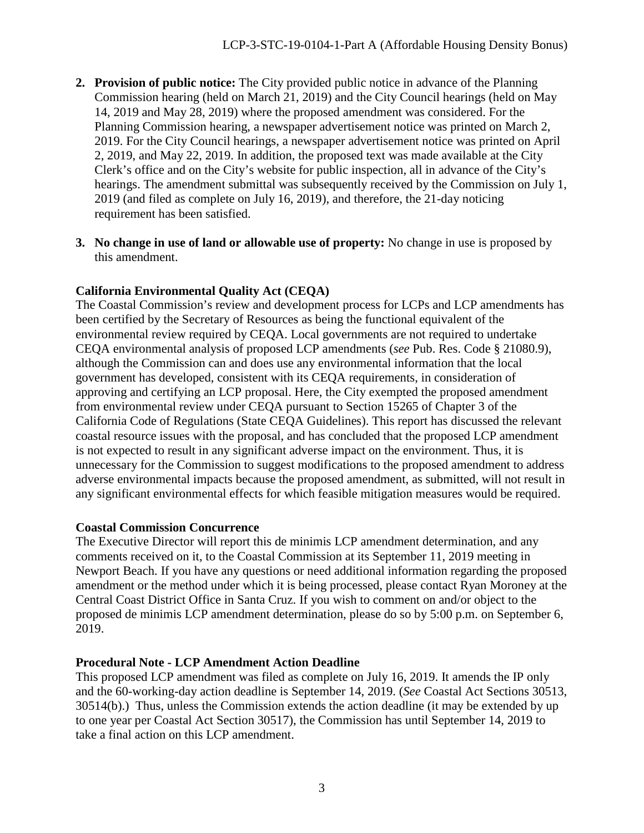- **2. Provision of public notice:** The City provided public notice in advance of the Planning Commission hearing (held on March 21, 2019) and the City Council hearings (held on May 14, 2019 and May 28, 2019) where the proposed amendment was considered. For the Planning Commission hearing, a newspaper advertisement notice was printed on March 2, 2019. For the City Council hearings, a newspaper advertisement notice was printed on April 2, 2019, and May 22, 2019. In addition, the proposed text was made available at the City Clerk's office and on the City's website for public inspection, all in advance of the City's hearings. The amendment submittal was subsequently received by the Commission on July 1, 2019 (and filed as complete on July 16, 2019), and therefore, the 21-day noticing requirement has been satisfied.
- **3. No change in use of land or allowable use of property:** No change in use is proposed by this amendment.

# **California Environmental Quality Act (CEQA)**

The Coastal Commission's review and development process for LCPs and LCP amendments has been certified by the Secretary of Resources as being the functional equivalent of the environmental review required by CEQA. Local governments are not required to undertake CEQA environmental analysis of proposed LCP amendments (*see* Pub. Res. Code § 21080.9), although the Commission can and does use any environmental information that the local government has developed, consistent with its CEQA requirements, in consideration of approving and certifying an LCP proposal. Here, the City exempted the proposed amendment from environmental review under CEQA pursuant to Section 15265 of Chapter 3 of the California Code of Regulations (State CEQA Guidelines). This report has discussed the relevant coastal resource issues with the proposal, and has concluded that the proposed LCP amendment is not expected to result in any significant adverse impact on the environment. Thus, it is unnecessary for the Commission to suggest modifications to the proposed amendment to address adverse environmental impacts because the proposed amendment, as submitted, will not result in any significant environmental effects for which feasible mitigation measures would be required.

## **Coastal Commission Concurrence**

The Executive Director will report this de minimis LCP amendment determination, and any comments received on it, to the Coastal Commission at its September 11, 2019 meeting in Newport Beach. If you have any questions or need additional information regarding the proposed amendment or the method under which it is being processed, please contact Ryan Moroney at the Central Coast District Office in Santa Cruz. If you wish to comment on and/or object to the proposed de minimis LCP amendment determination, please do so by 5:00 p.m. on September 6, 2019.

## **Procedural Note - LCP Amendment Action Deadline**

This proposed LCP amendment was filed as complete on July 16, 2019. It amends the IP only and the 60-working-day action deadline is September 14, 2019. (*See* Coastal Act Sections 30513, 30514(b).) Thus, unless the Commission extends the action deadline (it may be extended by up to one year per Coastal Act Section 30517), the Commission has until September 14, 2019 to take a final action on this LCP amendment.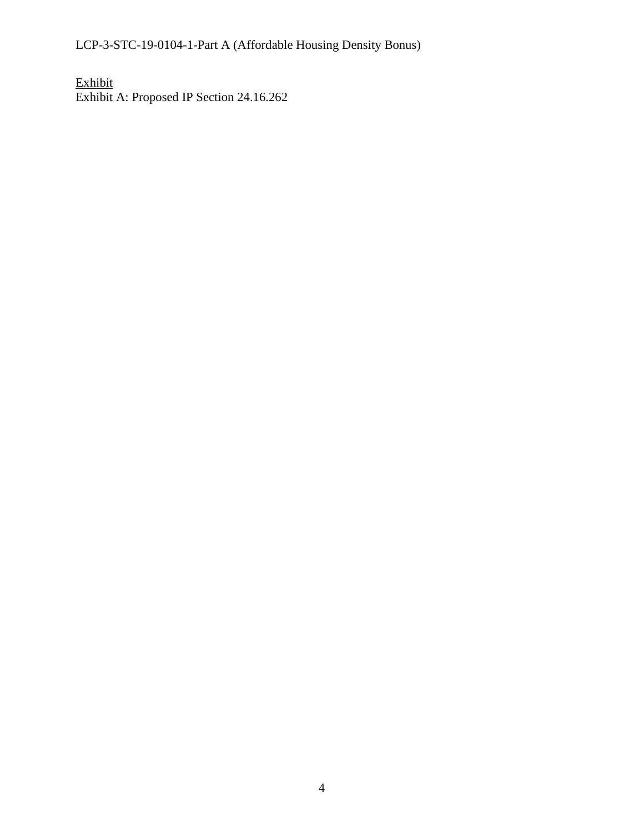LCP-3-STC-19-0104-1-Part A (Affordable Housing Density Bonus)

Exhibit Exhibit A: Proposed IP Section 24.16.262